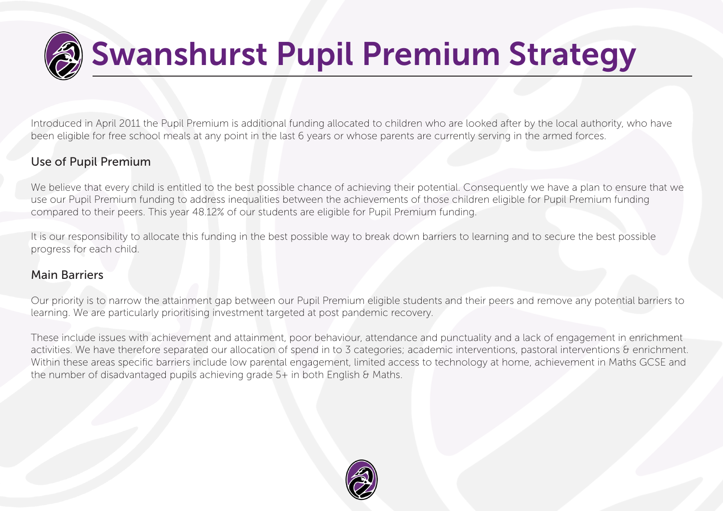

Introduced in April 2011 the Pupil Premium is additional funding allocated to children who are looked after by the local authority, who have been eligible for free school meals at any point in the last 6 years or whose parents are currently serving in the armed forces.

### Use of Pupil Premium

We believe that every child is entitled to the best possible chance of achieving their potential. Consequently we have a plan to ensure that we use our Pupil Premium funding to address inequalities between the achievements of those children eligible for Pupil Premium funding compared to their peers. This year 48.12% of our students are eligible for Pupil Premium funding.

It is our responsibility to allocate this funding in the best possible way to break down barriers to learning and to secure the best possible progress for each child.

#### Main Barriers

Our priority is to narrow the attainment gap between our Pupil Premium eligible students and their peers and remove any potential barriers to learning. We are particularly prioritising investment targeted at post pandemic recovery.

These include issues with achievement and attainment, poor behaviour, attendance and punctuality and a lack of engagement in enrichment activities. We have therefore separated our allocation of spend in to 3 categories; academic interventions, pastoral interventions & enrichment. Within these areas specific barriers include low parental engagement, limited access to technology at home, achievement in Maths GCSE and the number of disadvantaged pupils achieving grade 5+ in both English & Maths.

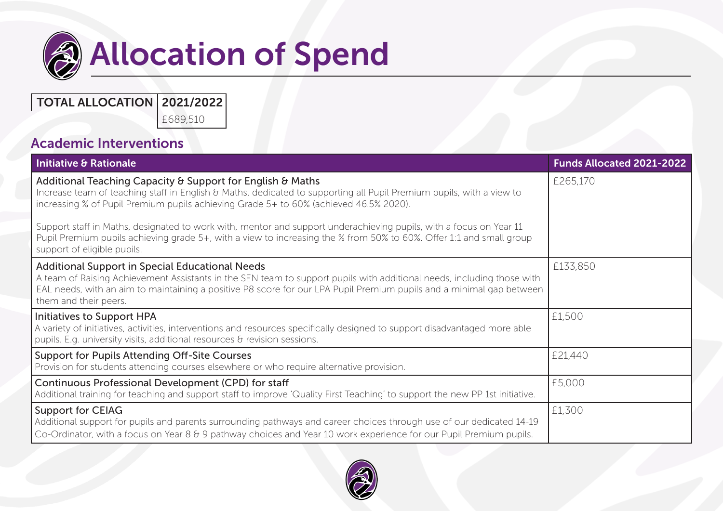

# **Allocation of Spend**

## TOTAL ALLOCATION 2021/2022

£689,510

## Academic Interventions

| Initiative & Rationale                                                                                                                                                                                                                                                                                                                                                                                                                                                                                                                                  | <b>Funds Allocated 2021-2022</b> |
|---------------------------------------------------------------------------------------------------------------------------------------------------------------------------------------------------------------------------------------------------------------------------------------------------------------------------------------------------------------------------------------------------------------------------------------------------------------------------------------------------------------------------------------------------------|----------------------------------|
| Additional Teaching Capacity & Support for English & Maths<br>Increase team of teaching staff in English & Maths, dedicated to supporting all Pupil Premium pupils, with a view to<br>increasing % of Pupil Premium pupils achieving Grade 5+ to 60% (achieved 46.5% 2020).<br>Support staff in Maths, designated to work with, mentor and support underachieving pupils, with a focus on Year 11<br>Pupil Premium pupils achieving grade 5+, with a view to increasing the % from 50% to 60%. Offer 1:1 and small group<br>support of eligible pupils. | £265,170                         |
| <b>Additional Support in Special Educational Needs</b><br>A team of Raising Achievement Assistants in the SEN team to support pupils with additional needs, including those with<br>EAL needs, with an aim to maintaining a positive P8 score for our LPA Pupil Premium pupils and a minimal gap between<br>them and their peers.                                                                                                                                                                                                                       | £133,850                         |
| Initiatives to Support HPA<br>A variety of initiatives, activities, interventions and resources specifically designed to support disadvantaged more able<br>pupils. E.g. university visits, additional resources & revision sessions.                                                                                                                                                                                                                                                                                                                   | £1,500                           |
| <b>Support for Pupils Attending Off-Site Courses</b><br>Provision for students attending courses elsewhere or who require alternative provision.                                                                                                                                                                                                                                                                                                                                                                                                        | £21,440                          |
| Continuous Professional Development (CPD) for staff<br>Additional training for teaching and support staff to improve 'Quality First Teaching' to support the new PP 1st initiative.                                                                                                                                                                                                                                                                                                                                                                     | £5,000                           |
| <b>Support for CEIAG</b><br>Additional support for pupils and parents surrounding pathways and career choices through use of our dedicated 14-19<br>Co-Ordinator, with a focus on Year 8 & 9 pathway choices and Year 10 work experience for our Pupil Premium pupils.                                                                                                                                                                                                                                                                                  | £1,300                           |

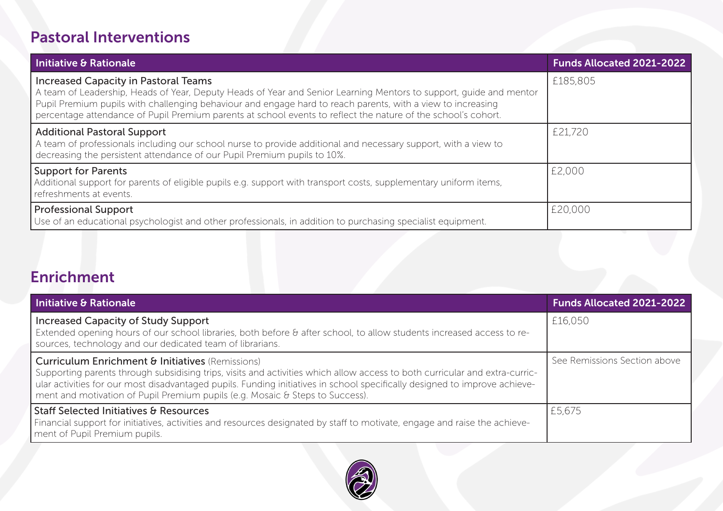# Pastoral Interventions

| <b>Initiative &amp; Rationale</b>                                                                                                                                                                                                                                                                                                                                                                 | <b>Funds Allocated 2021-2022</b> |
|---------------------------------------------------------------------------------------------------------------------------------------------------------------------------------------------------------------------------------------------------------------------------------------------------------------------------------------------------------------------------------------------------|----------------------------------|
| <b>Increased Capacity in Pastoral Teams</b><br>A team of Leadership, Heads of Year, Deputy Heads of Year and Senior Learning Mentors to support, guide and mentor<br>Pupil Premium pupils with challenging behaviour and engage hard to reach parents, with a view to increasing<br>percentage attendance of Pupil Premium parents at school events to reflect the nature of the school's cohort. | £185,805                         |
| <b>Additional Pastoral Support</b><br>A team of professionals including our school nurse to provide additional and necessary support, with a view to<br>decreasing the persistent attendance of our Pupil Premium pupils to 10%.                                                                                                                                                                  | £21,720                          |
| <b>Support for Parents</b><br>Additional support for parents of eligible pupils e.g. support with transport costs, supplementary uniform items,<br>refreshments at events.                                                                                                                                                                                                                        | £2,000                           |
| <b>Professional Support</b><br>Use of an educational psychologist and other professionals, in addition to purchasing specialist equipment.                                                                                                                                                                                                                                                        | £20,000                          |

# Enrichment

| Initiative & Rationale                                                                                                                                                                                                                                                                                                                                                                                    | <b>Funds Allocated 2021-2022</b> |
|-----------------------------------------------------------------------------------------------------------------------------------------------------------------------------------------------------------------------------------------------------------------------------------------------------------------------------------------------------------------------------------------------------------|----------------------------------|
| <b>Increased Capacity of Study Support</b><br>Extended opening hours of our school libraries, both before & after school, to allow students increased access to re-<br>sources, technology and our dedicated team of librarians.                                                                                                                                                                          | £16,050                          |
| <b>Curriculum Enrichment &amp; Initiatives</b> (Remissions)<br>Supporting parents through subsidising trips, visits and activities which allow access to both curricular and extra-curric-<br>ular activities for our most disadvantaged pupils. Funding initiatives in school specifically designed to improve achieve-<br>ment and motivation of Pupil Premium pupils (e.g. Mosaic & Steps to Success). | See Remissions Section above     |
| <b>Staff Selected Initiatives &amp; Resources</b><br>Financial support for initiatives, activities and resources designated by staff to motivate, engage and raise the achieve-<br>ment of Pupil Premium pupils.                                                                                                                                                                                          | £5,675                           |